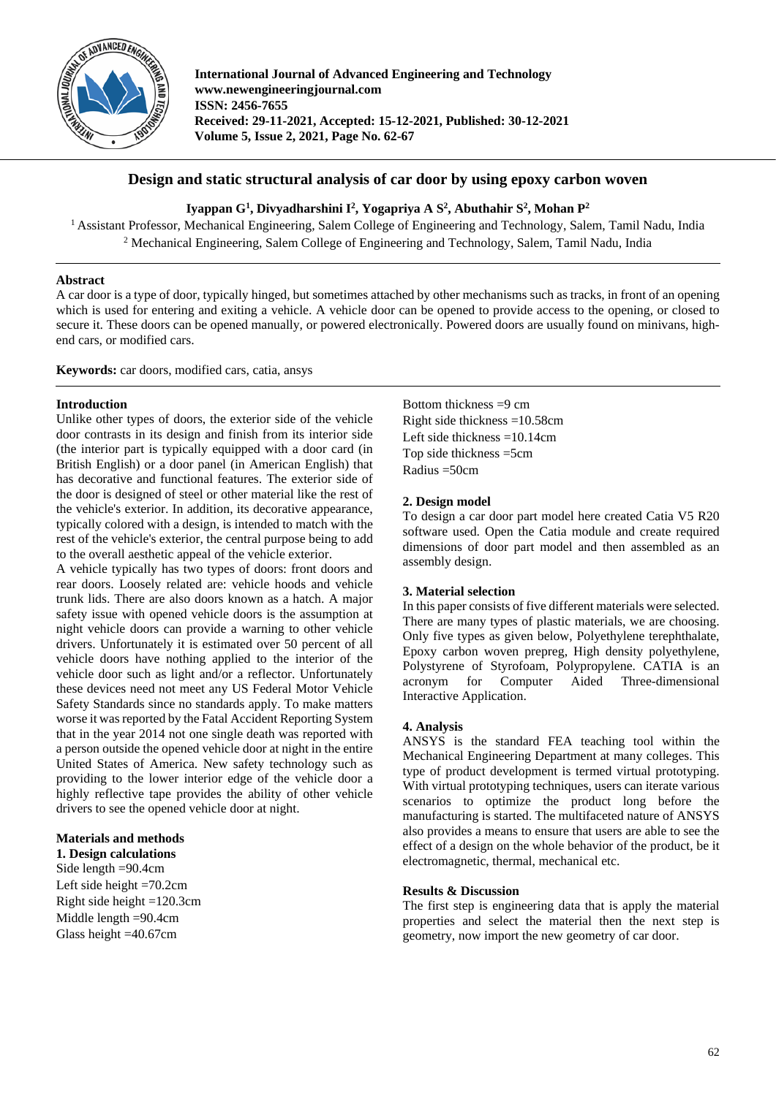

**International Journal of Advanced Engineering and Technology www.newengineeringjournal.com ISSN: 2456-7655 Received: 29-11-2021, Accepted: 15-12-2021, Published: 30-12-2021 Volume 5, Issue 2, 2021, Page No. 62-67**

# **Design and static structural analysis of car door by using epoxy carbon woven**

### **Iyappan G1 , Divyadharshini I2 , Yogapriya A S2 , Abuthahir S2 , Mohan P2**

<sup>1</sup> Assistant Professor, Mechanical Engineering, Salem College of Engineering and Technology, Salem, Tamil Nadu, India <sup>2</sup> Mechanical Engineering, Salem College of Engineering and Technology, Salem, Tamil Nadu, India

#### **Abstract**

A car door is a type of door, typically hinged, but sometimes attached by other mechanisms such as tracks, in front of an opening which is used for entering and exiting a vehicle. A vehicle door can be opened to provide access to the opening, or closed to secure it. These doors can be opened manually, or powered electronically. Powered doors are usually found on minivans, highend cars, or modified cars.

**Keywords:** car doors, modified cars, catia, ansys

#### **Introduction**

Unlike other types of doors, the exterior side of the vehicle door contrasts in its design and finish from its interior side (the interior part is typically equipped with a door card (in British English) or a door panel (in American English) that has decorative and functional features. The exterior side of the door is designed of steel or other material like the rest of the vehicle's exterior. In addition, its decorative appearance, typically colored with a design, is intended to match with the rest of the vehicle's exterior, the central purpose being to add to the overall aesthetic appeal of the vehicle exterior.

A vehicle typically has two types of doors: front doors and rear doors. Loosely related are: vehicle hoods and vehicle trunk lids. There are also doors known as a hatch. A major safety issue with opened vehicle doors is the assumption at night vehicle doors can provide a warning to other vehicle drivers. Unfortunately it is estimated over 50 percent of all vehicle doors have nothing applied to the interior of the vehicle door such as light and/or a reflector. Unfortunately these devices need not meet any US Federal Motor Vehicle Safety Standards since no standards apply. To make matters worse it was reported by the Fatal Accident Reporting System that in the year 2014 not one single death was reported with a person outside the opened vehicle door at night in the entire United States of America. New safety technology such as providing to the lower interior edge of the vehicle door a highly reflective tape provides the ability of other vehicle drivers to see the opened vehicle door at night.

#### **Materials and methods**

**1. Design calculations** Side length =90.4cm Left side height =70.2cm Right side height =120.3cm Middle length =90.4cm Glass height =40.67cm

Bottom thickness =9 cm Right side thickness =10.58cm Left side thickness =10.14cm Top side thickness =5cm Radius =50cm

#### **2. Design model**

To design a car door part model here created Catia V5 R20 software used. Open the Catia module and create required dimensions of door part model and then assembled as an assembly design.

#### **3. Material selection**

In this paper consists of five different materials were selected. There are many types of plastic materials, we are choosing. Only five types as given below, Polyethylene terephthalate, Epoxy carbon woven prepreg, High density polyethylene, Polystyrene of Styrofoam, Polypropylene. CATIA is an acronym for Computer Aided Three-dimensional Interactive Application.

#### **4. Analysis**

ANSYS is the standard FEA teaching tool within the Mechanical Engineering Department at many colleges. This type of product development is termed virtual prototyping. With virtual prototyping techniques, users can iterate various scenarios to optimize the product long before the manufacturing is started. The multifaceted nature of ANSYS also provides a means to ensure that users are able to see the effect of a design on the whole behavior of the product, be it electromagnetic, thermal, mechanical etc.

#### **Results & Discussion**

The first step is engineering data that is apply the material properties and select the material then the next step is geometry, now import the new geometry of car door.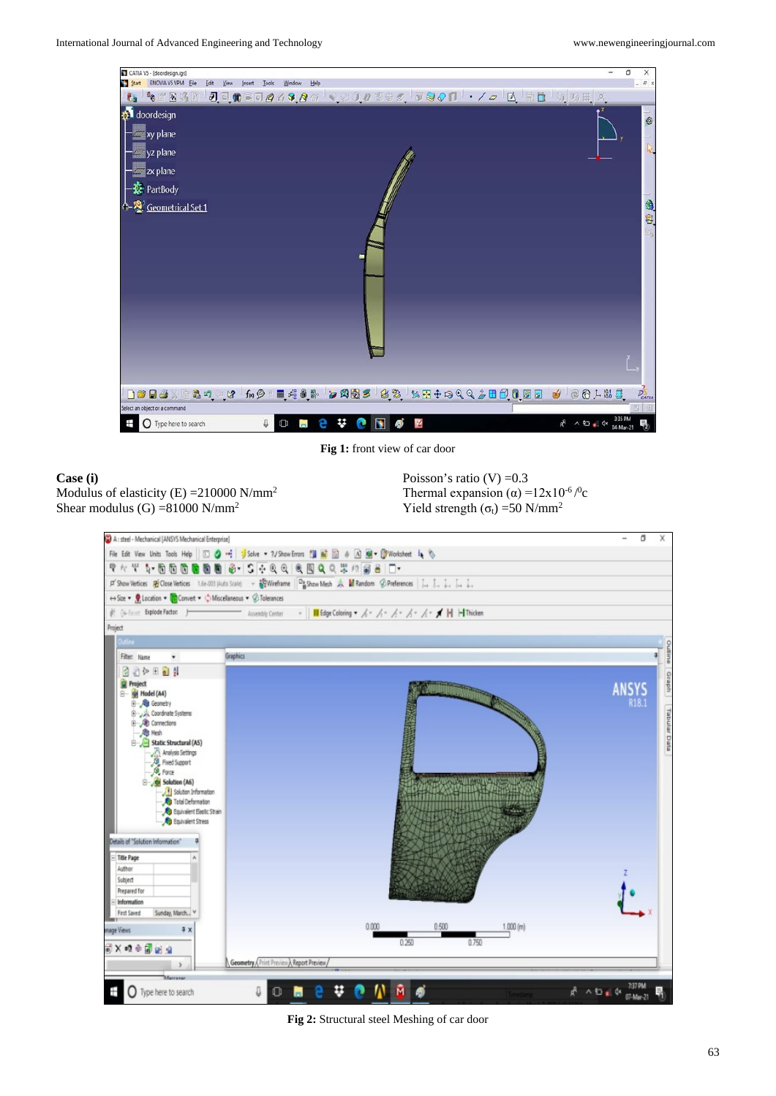

**Fig 1:** front view of car door

# **Case (i)**  Modulus of elasticity  $(E) = 210000 \text{ N/mm}^2$ Shear modulus  $(G) = 81000 \text{ N/mm}^2$

Poisson's ratio  $(V) = 0.3$ Thermal expansion ( $\alpha$ ) =12x10<sup>-6</sup>/<sup>0</sup>c Yield strength ( $\sigma_t$ ) =50 N/mm<sup>2</sup>



**Fig 2:** Structural steel Meshing of car door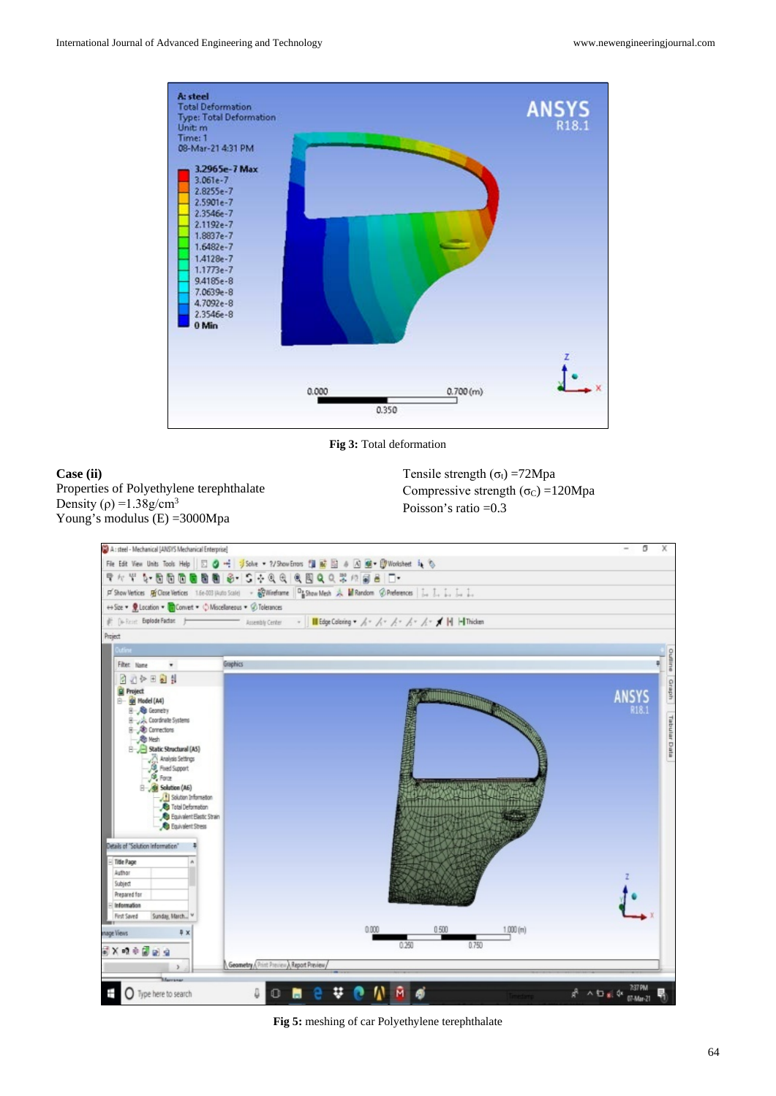

**Fig 3:** Total deformation

## **Case (ii)**  Properties of Polyethylene terephthalate Density ( $\rho$ ) =1.38g/cm<sup>3</sup> Young's modulus (E) =3000Mpa

Tensile strength  $(\sigma_t)$  =72Mpa Compressive strength  $(\sigma_C) = 120Mpa$ Poisson's ratio =0.3



**Fig 5:** meshing of car Polyethylene terephthalate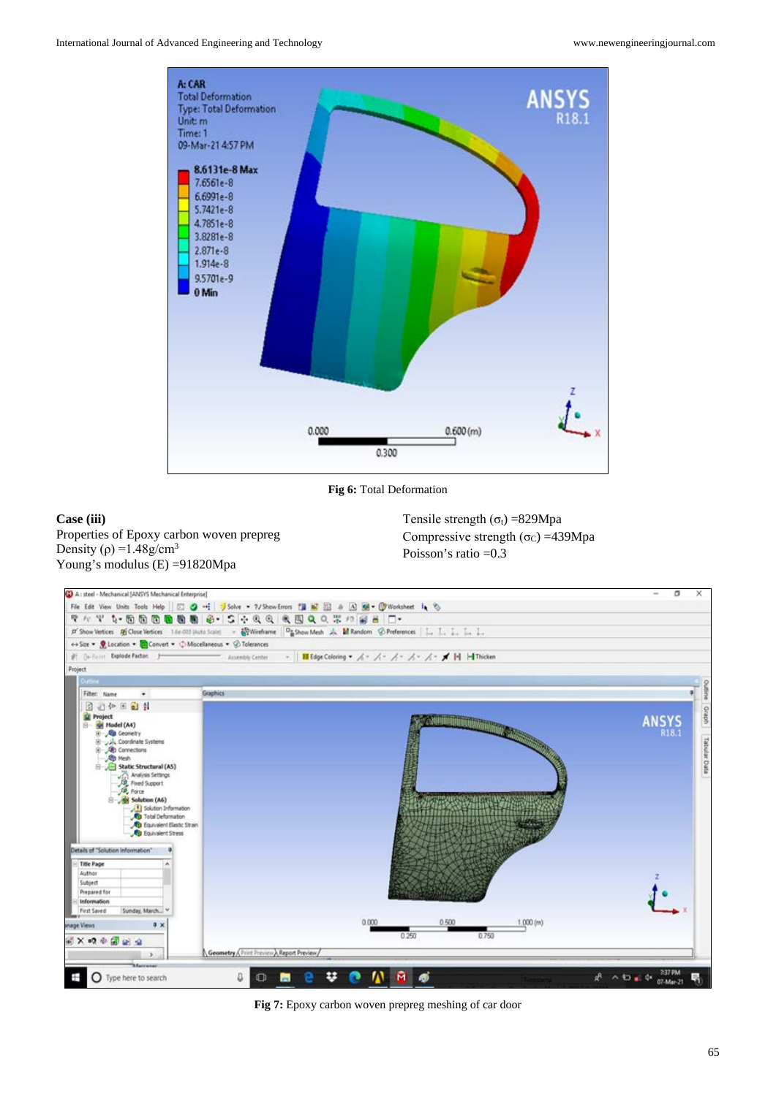

**Fig 6:** Total Deformation

# **Case (iii)**

Properties of Epoxy carbon woven prepreg Density ( $\rho$ ) =1.48g/cm<sup>3</sup> Young's modulus (E) =91820Mpa

Tensile strength  $(\sigma_t)$  =829Mpa Compressive strength ( $\sigma_C$ ) =439Mpa Poisson's ratio =0.3



**Fig 7:** Epoxy carbon woven prepreg meshing of car door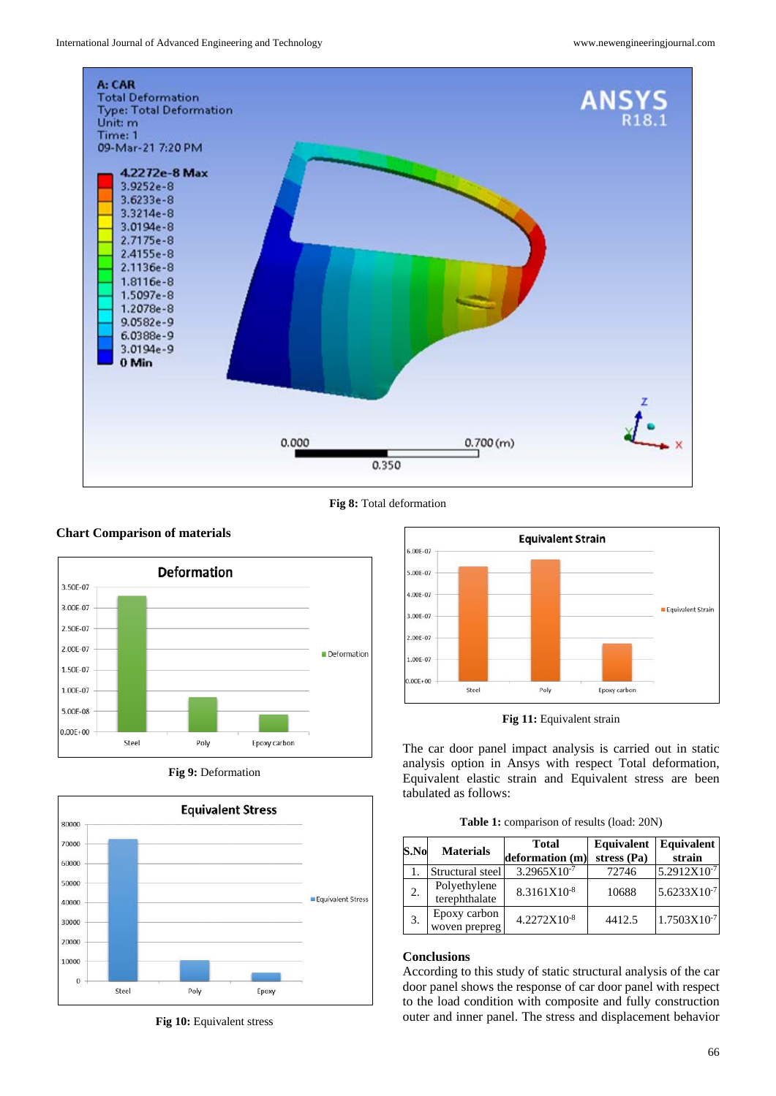

**Fig 8:** Total deformation



**Fig 9:** Deformation



**Fig 10:** Equivalent stress



**Fig 11:** Equivalent strain

The car door panel impact analysis is carried out in static analysis option in Ansys with respect Total deformation, Equivalent elastic strain and Equivalent stress are been tabulated as follows:

**Table 1:** comparison of results (load: 20N)

| S.No | <b>Materials</b>              | <b>Total</b><br>deformation (m) | Equivalent<br>stress (Pa) | Equivalent<br>strain |
|------|-------------------------------|---------------------------------|---------------------------|----------------------|
|      | Structural steel              | $3.2965X10^{-7}$                | 72746                     | 5.2912X10-7          |
| 2.   | Polyethylene<br>terephthalate | 8.3161X10-8                     | 10688                     | 5.6233X10-7          |
| 3.   | Epoxy carbon<br>woven prepreg | 4.2272X10-8                     | 4412.5                    | 1.7503X10-7          |

#### **Conclusions**

According to this study of static structural analysis of the car door panel shows the response of car door panel with respect to the load condition with composite and fully construction outer and inner panel. The stress and displacement behavior

# **Chart Comparison of materials**